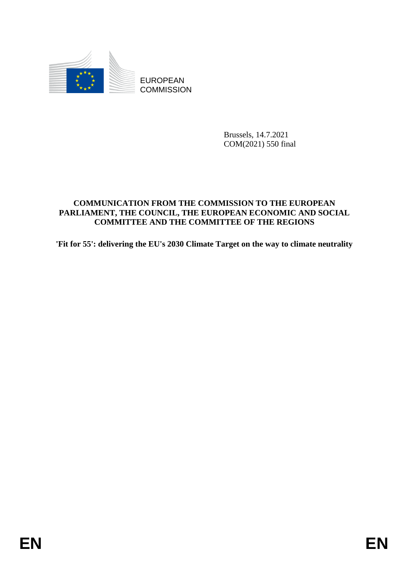

**COMMISSION** 

Brussels, 14.7.2021 COM(2021) 550 final

# EUROPEAN<br>
EDISOR COMMUSSION<br>
ENVERGING THE COMMUSSION TO THE EUROPEAN<br>
COMMUNICATION FRONT THE COMMUSSION TO THE EUROPEAN<br>
PARTA TAN THE CONSTRUCTION CONDITION OF THE RECONS<br>
THE GEST: delivering the EU's 2000 Climate Parg **COMMUNICATION FROM THE COMMISSION TO THE EUROPEAN PARLIAMENT, THE COUNCIL, THE EUROPEAN ECONOMIC AND SOCIAL COMMITTEE AND THE COMMITTEE OF THE REGIONS**

**'Fit for 55': delivering the EU's 2030 Climate Target on the way to climate neutrality**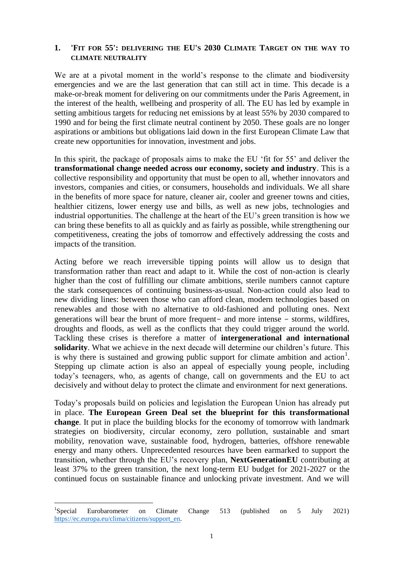#### **1. 'FIT FOR 55': DELIVERING THE EU'S 2030 CLIMATE TARGET ON THE WAY TO CLIMATE NEUTRALITY**

We are at a pivotal moment in the world's response to the climate and biodiversity emergencies and we are the last generation that can still act in time. This decade is a make-or-break moment for delivering on our commitments under the Paris Agreement, in the interest of the health, wellbeing and prosperity of all. The EU has led by example in setting ambitious targets for reducing net emissions by at least 55% by 2030 compared to 1990 and for being the first climate neutral continent by 2050. These goals are no longer aspirations or ambitions but obligations laid down in the first European Climate Law that create new opportunities for innovation, investment and jobs.

In this spirit, the package of proposals aims to make the EU 'fit for 55' and deliver the **transformational change needed across our economy, society and industry**. This is a collective responsibility and opportunity that must be open to all, whether innovators and investors, companies and cities, or consumers, households and individuals. We all share in the benefits of more space for nature, cleaner air, cooler and greener towns and cities, healthier citizens, lower energy use and bills, as well as new jobs, technologies and industrial opportunities. The challenge at the heart of the EU's green transition is how we can bring these benefits to all as quickly and as fairly as possible, while strengthening our competitiveness, creating the jobs of tomorrow and effectively addressing the costs and impacts of the transition.

Acting before we reach irreversible tipping points will allow us to design that transformation rather than react and adapt to it. While the cost of non-action is clearly higher than the cost of fulfilling our climate ambitions, sterile numbers cannot capture the stark consequences of continuing business-as-usual. Non-action could also lead to new dividing lines: between those who can afford clean, modern technologies based on renewables and those with no alternative to old-fashioned and polluting ones. Next generations will bear the brunt of more frequent- and more intense - storms, wildfires, droughts and floods, as well as the conflicts that they could trigger around the world. Tackling these crises is therefore a matter of **intergenerational and international solidarity**. What we achieve in the next decade will determine our children's future. This is why there is sustained and growing public support for climate ambition and action<sup>1</sup>. Stepping up climate action is also an appeal of especially young people, including today's teenagers, who, as agents of change, call on governments and the EU to act decisively and without delay to protect the climate and environment for next generations.

Today's proposals build on policies and legislation the European Union has already put in place. **The European Green Deal set the blueprint for this transformational change**. It put in place the building blocks for the economy of tomorrow with landmark strategies on biodiversity, circular economy, zero pollution, sustainable and smart mobility, renovation wave, sustainable food, hydrogen, batteries, offshore renewable energy and many others. Unprecedented resources have been earmarked to support the transition, whether through the EU's recovery plan, **NextGenerationEU** contributing at least 37% to the green transition, the next long-term EU budget for 2021-2027 or the continued focus on sustainable finance and unlocking private investment. And we will

 ${}^{1}$ Special Eurobarometer on Climate Change 513 (published on 5 July 2021) [https://ec.europa.eu/clima/citizens/support\\_en.](https://ec.europa.eu/clima/citizens/support_en)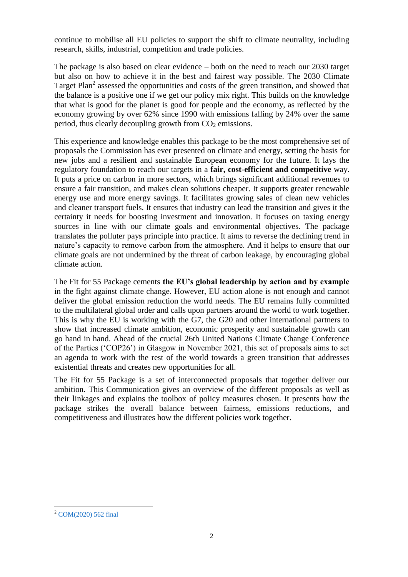continue to mobilise all EU policies to support the shift to climate neutrality, including research, skills, industrial, competition and trade policies.

The package is also based on clear evidence – both on the need to reach our 2030 target but also on how to achieve it in the best and fairest way possible. The 2030 Climate Target Plan<sup>2</sup> assessed the opportunities and costs of the green transition, and showed that the balance is a positive one if we get our policy mix right. This builds on the knowledge that what is good for the planet is good for people and the economy, as reflected by the economy growing by over 62% since 1990 with emissions falling by 24% over the same period, thus clearly decoupling growth from  $CO<sub>2</sub>$  emissions.

This experience and knowledge enables this package to be the most comprehensive set of proposals the Commission has ever presented on climate and energy, setting the basis for new jobs and a resilient and sustainable European economy for the future. It lays the regulatory foundation to reach our targets in a **fair, cost-efficient and competitive** way. It puts a price on carbon in more sectors, which brings significant additional revenues to ensure a fair transition, and makes clean solutions cheaper. It supports greater renewable energy use and more energy savings. It facilitates growing sales of clean new vehicles and cleaner transport fuels. It ensures that industry can lead the transition and gives it the certainty it needs for boosting investment and innovation. It focuses on taxing energy sources in line with our climate goals and environmental objectives. The package translates the polluter pays principle into practice. It aims to reverse the declining trend in nature's capacity to remove carbon from the atmosphere. And it helps to ensure that our climate goals are not undermined by the threat of carbon leakage, by encouraging global climate action.

The Fit for 55 Package cements **the EU's global leadership by action and by example** in the fight against climate change. However, EU action alone is not enough and cannot deliver the global emission reduction the world needs. The EU remains fully committed to the multilateral global order and calls upon partners around the world to work together. This is why the EU is working with the G7, the G20 and other international partners to show that increased climate ambition, economic prosperity and sustainable growth can go hand in hand. Ahead of the crucial 26th United Nations Climate Change Conference of the Parties ('COP26') in Glasgow in November 2021, this set of proposals aims to set an agenda to work with the rest of the world towards a green transition that addresses existential threats and creates new opportunities for all.

The Fit for 55 Package is a set of interconnected proposals that together deliver our ambition. This Communication gives an overview of the different proposals as well as their linkages and explains the toolbox of policy measures chosen. It presents how the package strikes the overall balance between fairness, emissions reductions, and competitiveness and illustrates how the different policies work together.

 $\overline{a}$ <sup>2</sup> [COM\(2020\) 562 final](https://eur-lex.europa.eu/legal-content/EN/TXT/PDF/?uri=CELEX:52020DC0562&from=FR)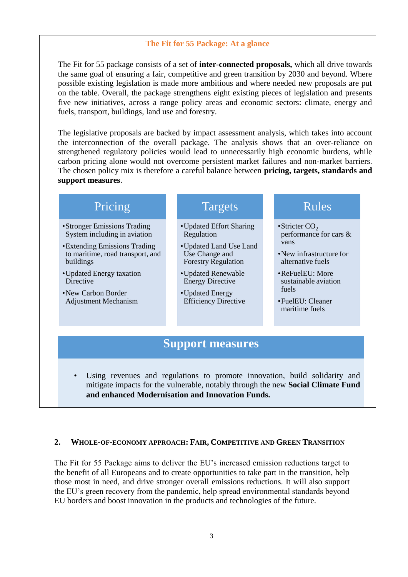# **The Fit for 55 Package: At a glance**

The Fit for 55 package consists of a set of **inter-connected proposals,** which all drive towards the same goal of ensuring a fair, competitive and green transition by 2030 and beyond. Where possible existing legislation is made more ambitious and where needed new proposals are put on the table. Overall, the package strengthens eight existing pieces of legislation and presents five new initiatives, across a range policy areas and economic sectors: climate, energy and fuels, transport, buildings, land use and forestry.

The legislative proposals are backed by impact assessment analysis, which takes into account the interconnection of the overall package. The analysis shows that an over-reliance on strengthened regulatory policies would lead to unnecessarily high economic burdens, while carbon pricing alone would not overcome persistent market failures and non-market barriers. The chosen policy mix is therefore a careful balance between **pricing, targets, standards and support measures**.

# Pricing

- •Stronger Emissions Trading System including in aviation
- •Extending Emissions Trading to maritime, road transport, and buildings
- •Updated Energy taxation **D**irective
- •New Carbon Border Adjustment Mechanism

# Targets

- •Updated Effort Sharing Regulation
- •Updated Land Use Land Use Change and Forestry Regulation
- •Updated Renewable Energy Directive
- •Updated Energy Efficiency Directive

# Rules

- Stricter  $CO<sub>2</sub>$ performance for cars & vans
- •New infrastructure for alternative fuels
- •ReFuelEU: More sustainable aviation fuels
- •FuelEU: Cleaner maritime fuels

# **Support measures**

Using revenues and regulations to promote innovation, build solidarity and mitigate impacts for the vulnerable, notably through the new **Social Climate Fund and enhanced Modernisation and Innovation Funds.**

#### **2. WHOLE-OF-ECONOMY APPROACH: FAIR, COMPETITIVE AND GREEN TRANSITION**

The Fit for 55 Package aims to deliver the EU's increased emission reductions target to the benefit of all Europeans and to create opportunities to take part in the transition, help those most in need, and drive stronger overall emissions reductions. It will also support the EU's green recovery from the pandemic, help spread environmental standards beyond EU borders and boost innovation in the products and technologies of the future.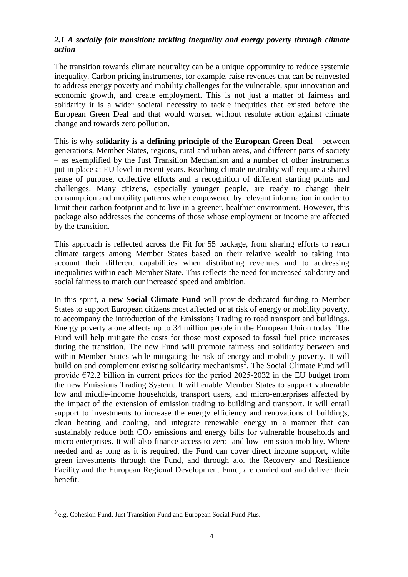# *2.1 A socially fair transition: tackling inequality and energy poverty through climate action*

The transition towards climate neutrality can be a unique opportunity to reduce systemic inequality. Carbon pricing instruments, for example, raise revenues that can be reinvested to address energy poverty and mobility challenges for the vulnerable, spur innovation and economic growth, and create employment. This is not just a matter of fairness and solidarity it is a wider societal necessity to tackle inequities that existed before the European Green Deal and that would worsen without resolute action against climate change and towards zero pollution.

This is why **solidarity is a defining principle of the European Green Deal** – between generations, Member States, regions, rural and urban areas, and different parts of society – as exemplified by the Just Transition Mechanism and a number of other instruments put in place at EU level in recent years. Reaching climate neutrality will require a shared sense of purpose, collective efforts and a recognition of different starting points and challenges. Many citizens, especially younger people, are ready to change their consumption and mobility patterns when empowered by relevant information in order to limit their carbon footprint and to live in a greener, healthier environment. However, this package also addresses the concerns of those whose employment or income are affected by the transition.

This approach is reflected across the Fit for 55 package, from sharing efforts to reach climate targets among Member States based on their relative wealth to taking into account their different capabilities when distributing revenues and to addressing inequalities within each Member State. This reflects the need for increased solidarity and social fairness to match our increased speed and ambition.

In this spirit, a **new Social Climate Fund** will provide dedicated funding to Member States to support European citizens most affected or at risk of energy or mobility poverty, to accompany the introduction of the Emissions Trading to road transport and buildings. Energy poverty alone affects up to 34 million people in the European Union today. The Fund will help mitigate the costs for those most exposed to fossil fuel price increases during the transition. The new Fund will promote fairness and solidarity between and within Member States while mitigating the risk of energy and mobility poverty. It will build on and complement existing solidarity mechanisms<sup>3</sup>. The Social Climate Fund will provide  $E72.2$  billion in current prices for the period 2025-2032 in the EU budget from the new Emissions Trading System. It will enable Member States to support vulnerable low and middle-income households, transport users, and micro-enterprises affected by the impact of the extension of emission trading to building and transport. It will entail support to investments to increase the energy efficiency and renovations of buildings, clean heating and cooling, and integrate renewable energy in a manner that can sustainably reduce both  $CO<sub>2</sub>$  emissions and energy bills for vulnerable households and micro enterprises. It will also finance access to zero- and low- emission mobility. Where needed and as long as it is required, the Fund can cover direct income support, while green investments through the Fund, and through a.o. the Recovery and Resilience Facility and the European Regional Development Fund, are carried out and deliver their benefit.

 $\overline{a}$ <sup>3</sup> e.g. Cohesion Fund, Just Transition Fund and European Social Fund Plus.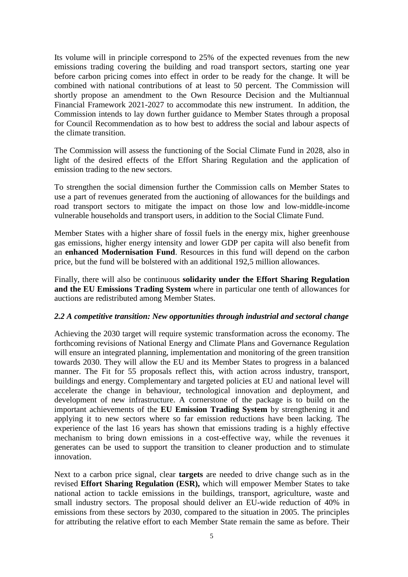Its volume will in principle correspond to 25% of the expected revenues from the new emissions trading covering the building and road transport sectors, starting one year before carbon pricing comes into effect in order to be ready for the change. It will be combined with national contributions of at least to 50 percent. The Commission will shortly propose an amendment to the Own Resource Decision and the Multiannual Financial Framework 2021-2027 to accommodate this new instrument. In addition, the Commission intends to lay down further guidance to Member States through a proposal for Council Recommendation as to how best to address the social and labour aspects of the climate transition.

The Commission will assess the functioning of the Social Climate Fund in 2028, also in light of the desired effects of the Effort Sharing Regulation and the application of emission trading to the new sectors.

To strengthen the social dimension further the Commission calls on Member States to use a part of revenues generated from the auctioning of allowances for the buildings and road transport sectors to mitigate the impact on those low and low-middle-income vulnerable households and transport users, in addition to the Social Climate Fund.

Member States with a higher share of fossil fuels in the energy mix, higher greenhouse gas emissions, higher energy intensity and lower GDP per capita will also benefit from an **enhanced Modernisation Fund**. Resources in this fund will depend on the carbon price, but the fund will be bolstered with an additional 192,5 million allowances.

Finally, there will also be continuous **solidarity under the Effort Sharing Regulation and the EU Emissions Trading System** where in particular one tenth of allowances for auctions are redistributed among Member States.

#### *2.2 A competitive transition: New opportunities through industrial and sectoral change*

Achieving the 2030 target will require systemic transformation across the economy. The forthcoming revisions of National Energy and Climate Plans and Governance Regulation will ensure an integrated planning, implementation and monitoring of the green transition towards 2030. They will allow the EU and its Member States to progress in a balanced manner. The Fit for 55 proposals reflect this, with action across industry, transport, buildings and energy. Complementary and targeted policies at EU and national level will accelerate the change in behaviour, technological innovation and deployment, and development of new infrastructure. A cornerstone of the package is to build on the important achievements of the **EU Emission Trading System** by strengthening it and applying it to new sectors where so far emission reductions have been lacking. The experience of the last 16 years has shown that emissions trading is a highly effective mechanism to bring down emissions in a cost-effective way, while the revenues it generates can be used to support the transition to cleaner production and to stimulate innovation.

Next to a carbon price signal, clear **targets** are needed to drive change such as in the revised **Effort Sharing Regulation (ESR),** which will empower Member States to take national action to tackle emissions in the buildings, transport, agriculture, waste and small industry sectors. The proposal should deliver an EU-wide reduction of 40% in emissions from these sectors by 2030, compared to the situation in 2005. The principles for attributing the relative effort to each Member State remain the same as before. Their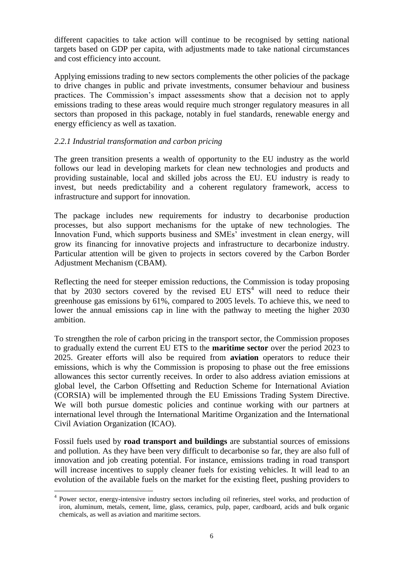different capacities to take action will continue to be recognised by setting national targets based on GDP per capita, with adjustments made to take national circumstances and cost efficiency into account.

Applying emissions trading to new sectors complements the other policies of the package to drive changes in public and private investments, consumer behaviour and business practices. The Commission's impact assessments show that a decision not to apply emissions trading to these areas would require much stronger regulatory measures in all sectors than proposed in this package, notably in fuel standards, renewable energy and energy efficiency as well as taxation.

## *2.2.1 Industrial transformation and carbon pricing*

The green transition presents a wealth of opportunity to the EU industry as the world follows our lead in developing markets for clean new technologies and products and providing sustainable, local and skilled jobs across the EU. EU industry is ready to invest, but needs predictability and a coherent regulatory framework, access to infrastructure and support for innovation.

The package includes new requirements for industry to decarbonise production processes, but also support mechanisms for the uptake of new technologies. The Innovation Fund, which supports business and SMEs' investment in clean energy, will grow its financing for innovative projects and infrastructure to decarbonize industry. Particular attention will be given to projects in sectors covered by the Carbon Border Adjustment Mechanism (CBAM).

Reflecting the need for steeper emission reductions, the Commission is today proposing that by 2030 sectors covered by the revised EU  $ETS<sup>4</sup>$  will need to reduce their greenhouse gas emissions by 61%, compared to 2005 levels. To achieve this, we need to lower the annual emissions cap in line with the pathway to meeting the higher 2030 ambition.

To strengthen the role of carbon pricing in the transport sector, the Commission proposes to gradually extend the current EU ETS to the **maritime sector** over the period 2023 to 2025. Greater efforts will also be required from **aviation** operators to reduce their emissions, which is why the Commission is proposing to phase out the free emissions allowances this sector currently receives. In order to also address aviation emissions at global level, the Carbon Offsetting and Reduction Scheme for International Aviation (CORSIA) will be implemented through the EU Emissions Trading System Directive. We will both pursue domestic policies and continue working with our partners at international level through the International Maritime Organization and the International Civil Aviation Organization (ICAO).

Fossil fuels used by **road transport and buildings** are substantial sources of emissions and pollution. As they have been very difficult to decarbonise so far, they are also full of innovation and job creating potential. For instance, emissions trading in road transport will increase incentives to supply cleaner fuels for existing vehicles. It will lead to an evolution of the available fuels on the market for the existing fleet, pushing providers to

<sup>4</sup> Power sector, energy-intensive industry sectors including oil refineries, steel works, and production of iron, aluminum, metals, cement, lime, glass, ceramics, pulp, paper, cardboard, acids and bulk organic chemicals, as well as aviation and maritime sectors.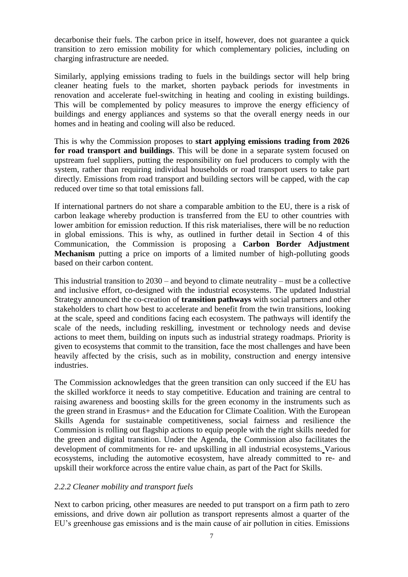decarbonise their fuels. The carbon price in itself, however, does not guarantee a quick transition to zero emission mobility for which complementary policies, including on charging infrastructure are needed.

Similarly, applying emissions trading to fuels in the buildings sector will help bring cleaner heating fuels to the market, shorten payback periods for investments in renovation and accelerate fuel-switching in heating and cooling in existing buildings. This will be complemented by policy measures to improve the energy efficiency of buildings and energy appliances and systems so that the overall energy needs in our homes and in heating and cooling will also be reduced.

This is why the Commission proposes to **start applying emissions trading from 2026 for road transport and buildings**. This will be done in a separate system focused on upstream fuel suppliers, putting the responsibility on fuel producers to comply with the system, rather than requiring individual households or road transport users to take part directly. Emissions from road transport and building sectors will be capped, with the cap reduced over time so that total emissions fall.

If international partners do not share a comparable ambition to the EU, there is a risk of carbon leakage whereby production is transferred from the EU to other countries with lower ambition for emission reduction. If this risk materialises, there will be no reduction in global emissions. This is why, as outlined in further detail in Section 4 of this Communication, the Commission is proposing a **Carbon Border Adjustment Mechanism** putting a price on imports of a limited number of high-polluting goods based on their carbon content.

This industrial transition to 2030 – and beyond to climate neutrality – must be a collective and inclusive effort, co-designed with the industrial ecosystems. The updated Industrial Strategy announced the co-creation of **transition pathways** with social partners and other stakeholders to chart how best to accelerate and benefit from the twin transitions, looking at the scale, speed and conditions facing each ecosystem. The pathways will identify the scale of the needs, including reskilling, investment or technology needs and devise actions to meet them, building on inputs such as industrial strategy roadmaps. Priority is given to ecosystems that commit to the transition, face the most challenges and have been heavily affected by the crisis, such as in mobility, construction and energy intensive industries.

The Commission acknowledges that the green transition can only succeed if the EU has the skilled workforce it needs to stay competitive. Education and training are central to raising awareness and boosting skills for the green economy in the instruments such as the green strand in Erasmus+ and the Education for Climate Coalition. With the European Skills Agenda for sustainable competitiveness, social fairness and resilience the Commission is rolling out flagship actions to equip people with the right skills needed for the green and digital transition. Under the Agenda, the Commission also facilitates the development of commitments for re- and upskilling in all industrial ecosystems. Various ecosystems, including the automotive ecosystem, have already committed to re- and upskill their workforce across the entire value chain, as part of the Pact for Skills.

#### *2.2.2 Cleaner mobility and transport fuels*

Next to carbon pricing, other measures are needed to put transport on a firm path to zero emissions, and drive down air pollution as transport represents almost a quarter of the EU's greenhouse gas emissions and is the main cause of air pollution in cities. Emissions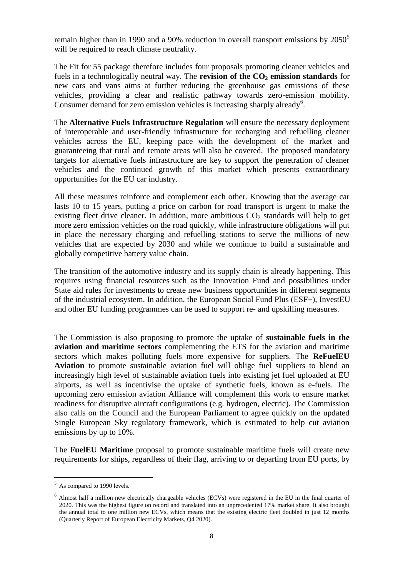remain higher than in 1990 and a 90% reduction in overall transport emissions by  $2050^5$ will be required to reach climate neutrality.

The Fit for 55 package therefore includes four proposals promoting cleaner vehicles and fuels in a technologically neutral way. The **revision of the CO<sup>2</sup> emission standards** for new cars and vans aims at further reducing the greenhouse gas emissions of these vehicles, providing a clear and realistic pathway towards zero-emission mobility. Consumer demand for zero emission vehicles is increasing sharply already<sup>6</sup>.

The **Alternative Fuels Infrastructure Regulation** will ensure the necessary deployment of interoperable and user-friendly infrastructure for recharging and refuelling cleaner vehicles across the EU, keeping pace with the development of the market and guaranteeing that rural and remote areas will also be covered. The proposed mandatory targets for alternative fuels infrastructure are key to support the penetration of cleaner vehicles and the continued growth of this market which presents extraordinary opportunities for the EU car industry.

All these measures reinforce and complement each other. Knowing that the average car lasts 10 to 15 years, putting a price on carbon for road transport is urgent to make the existing fleet drive cleaner. In addition, more ambitious  $CO<sub>2</sub>$  standards will help to get more zero emission vehicles on the road quickly, while infrastructure obligations will put in place the necessary charging and refuelling stations to serve the millions of new vehicles that are expected by 2030 and while we continue to build a sustainable and globally competitive battery value chain.

The transition of the automotive industry and its supply chain is already happening. This requires using financial resources such as the Innovation Fund and possibilities under State aid rules for investments to create new business opportunities in different segments of the industrial ecosystem. In addition, the European Social Fund Plus (ESF+), InvestEU and other EU funding programmes can be used to support re- and upskilling measures.

The Commission is also proposing to promote the uptake of **sustainable fuels in the aviation and maritime sectors** complementing the ETS for the aviation and maritime sectors which makes polluting fuels more expensive for suppliers. The **ReFuelEU Aviation** to promote sustainable aviation fuel will oblige fuel suppliers to blend an increasingly high level of sustainable aviation fuels into existing jet fuel uploaded at EU airports, as well as incentivise the uptake of synthetic fuels, known as e-fuels. The upcoming zero emission aviation Alliance will complement this work to ensure market readiness for disruptive aircraft configurations (e.g. hydrogen, electric). The Commission also calls on the Council and the European Parliament to agree quickly on the updated Single European Sky regulatory framework, which is estimated to help cut aviation emissions by up to 10%.

The **FuelEU Maritime** proposal to promote sustainable maritime fuels will create new requirements for ships, regardless of their flag, arriving to or departing from EU ports, by

<sup>&</sup>lt;sup>5</sup> As compared to 1990 levels.

 $6$  Almost half a million new electrically chargeable vehicles (ECVs) were registered in the EU in the final quarter of 2020. This was the highest figure on record and translated into an unprecedented 17% market share. It also brought the annual total to one million new ECVs, which means that the existing electric fleet doubled in just 12 months (Quarterly Report of European Electricity Markets, Q4 2020).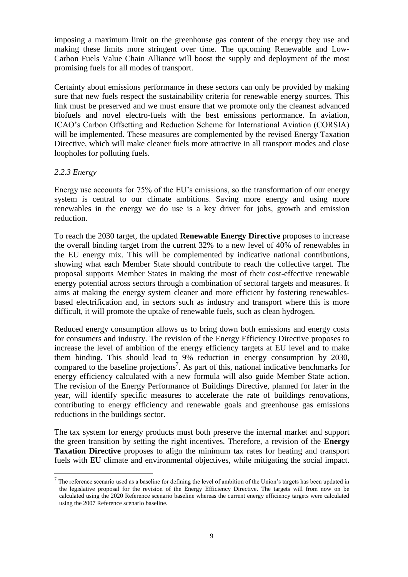imposing a maximum limit on the greenhouse gas content of the energy they use and making these limits more stringent over time. The upcoming Renewable and Low-Carbon Fuels Value Chain Alliance will boost the supply and deployment of the most promising fuels for all modes of transport.

Certainty about emissions performance in these sectors can only be provided by making sure that new fuels respect the sustainability criteria for renewable energy sources. This link must be preserved and we must ensure that we promote only the cleanest advanced biofuels and novel electro-fuels with the best emissions performance. In aviation, ICAO's Carbon Offsetting and Reduction Scheme for International Aviation (CORSIA) will be implemented. These measures are complemented by the revised Energy Taxation Directive, which will make cleaner fuels more attractive in all transport modes and close loopholes for polluting fuels.

#### *2.2.3 Energy*

 $\overline{a}$ 

Energy use accounts for 75% of the EU's emissions, so the transformation of our energy system is central to our climate ambitions. Saving more energy and using more renewables in the energy we do use is a key driver for jobs, growth and emission reduction.

To reach the 2030 target, the updated **Renewable Energy Directive** proposes to increase the overall binding target from the current 32% to a new level of 40% of renewables in the EU energy mix. This will be complemented by indicative national contributions, showing what each Member State should contribute to reach the collective target. The proposal supports Member States in making the most of their cost-effective renewable energy potential across sectors through a combination of sectoral targets and measures. It aims at making the energy system cleaner and more efficient by fostering renewablesbased electrification and, in sectors such as industry and transport where this is more difficult, it will promote the uptake of renewable fuels, such as clean hydrogen.

Reduced energy consumption allows us to bring down both emissions and energy costs for consumers and industry. The revision of the Energy Efficiency Directive proposes to increase the level of ambition of the energy efficiency targets at EU level and to make them binding. This should lead to 9% reduction in energy consumption by 2030, compared to the baseline projections<sup>7</sup>. As part of this, national indicative benchmarks for energy efficiency calculated with a new formula will also guide Member State action. The revision of the Energy Performance of Buildings Directive, planned for later in the year, will identify specific measures to accelerate the rate of buildings renovations, contributing to energy efficiency and renewable goals and greenhouse gas emissions reductions in the buildings sector.

The tax system for energy products must both preserve the internal market and support the green transition by setting the right incentives. Therefore, a revision of the **Energy Taxation Directive** proposes to align the minimum tax rates for heating and transport fuels with EU climate and environmental objectives, while mitigating the social impact.

 $<sup>7</sup>$  The reference scenario used as a baseline for defining the level of ambition of the Union's targets has been updated in</sup> the legislative proposal for the revision of the Energy Efficiency Directive. The targets will from now on be calculated using the 2020 Reference scenario baseline whereas the current energy efficiency targets were calculated using the 2007 Reference scenario baseline.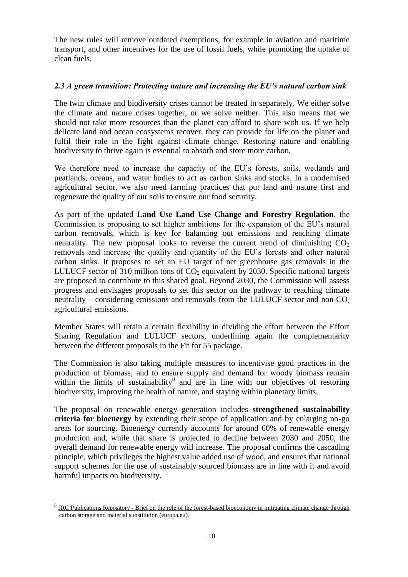The new rules will remove outdated exemptions, for example in aviation and maritime transport, and other incentives for the use of fossil fuels, while promoting the uptake of clean fuels.

## *2.3 A green transition: Protecting nature and increasing the EU's natural carbon sink*

The twin climate and biodiversity crises cannot be treated in separately. We either solve the climate and nature crises together, or we solve neither. This also means that we should not take more resources than the planet can afford to share with us. If we help delicate land and ocean ecosystems recover, they can provide for life on the planet and fulfil their role in the fight against climate change. Restoring nature and enabling biodiversity to thrive again is essential to absorb and store more carbon.

We therefore need to increase the capacity of the EU's forests, soils, wetlands and peatlands, oceans, and water bodies to act as carbon sinks and stocks. In a modernised agricultural sector, we also need farming practices that put land and nature first and regenerate the quality of our soils to ensure our food security.

As part of the updated **Land Use Land Use Change and Forestry Regulation**, the Commission is proposing to set higher ambitions for the expansion of the EU's natural carbon removals, which is key for balancing out emissions and reaching climate neutrality. The new proposal looks to reverse the current trend of diminishing  $CO<sub>2</sub>$ removals and increase the quality and quantity of the EU's forests and other natural carbon sinks. It proposes to set an EU target of net greenhouse gas removals in the LULUCF sector of 310 million tons of  $CO<sub>2</sub>$  equivalent by 2030. Specific national targets are proposed to contribute to this shared goal. Beyond 2030, the Commission will assess progress and envisages proposals to set this sector on the pathway to reaching climate neutrality – considering emissions and removals from the LULUCF sector and non- $CO<sub>2</sub>$ agricultural emissions.

Member States will retain a certain flexibility in dividing the effort between the Effort Sharing Regulation and LULUCF sectors, underlining again the complementarity between the different proposals in the Fit for 55 package.

The Commission is also taking multiple measures to incentivise good practices in the production of biomass, and to ensure supply and demand for woody biomass remain within the limits of sustainability $\delta$  and are in line with our objectives of restoring biodiversity, improving the health of nature, and staying within planetary limits.

The proposal on renewable energy generation includes **strengthened sustainability criteria for bioenergy** by extending their scope of application and by enlarging no-go areas for sourcing. Bioenergy currently accounts for around 60% of renewable energy production and, while that share is projected to decline between 2030 and 2050, the overall demand for renewable energy will increase. The proposal confirms the cascading principle, which privileges the highest value added use of wood, and ensures that national support schemes for the use of sustainably sourced biomass are in line with it and avoid harmful impacts on biodiversity.

<sup>8</sup> JRC Publications Repository - [Brief on the role of the forest-based bioeconomy in mitigating climate change through](https://publications.jrc.ec.europa.eu/repository/handle/JRC124374)  [carbon storage and material substitution \(europa.eu\).](https://publications.jrc.ec.europa.eu/repository/handle/JRC124374)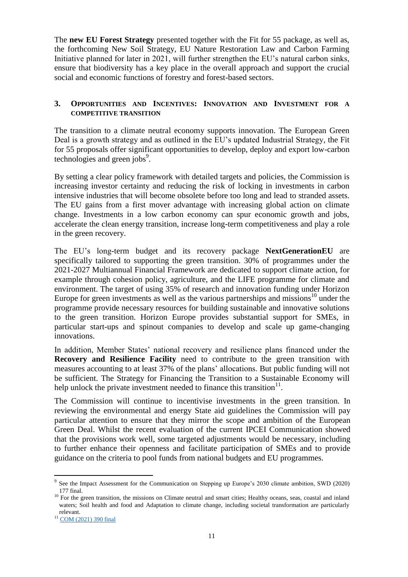The **new EU Forest Strategy** presented together with the Fit for 55 package, as well as, the forthcoming New Soil Strategy, EU Nature Restoration Law and Carbon Farming Initiative planned for later in 2021, will further strengthen the EU's natural carbon sinks, ensure that biodiversity has a key place in the overall approach and support the crucial social and economic functions of forestry and forest-based sectors.

## **3. OPPORTUNITIES AND INCENTIVES: INNOVATION AND INVESTMENT FOR A COMPETITIVE TRANSITION**

The transition to a climate neutral economy supports innovation. The European Green Deal is a growth strategy and as outlined in the EU's updated Industrial Strategy, the Fit for 55 proposals offer significant opportunities to develop, deploy and export low-carbon technologies and green jobs<sup>9</sup>.

By setting a clear policy framework with detailed targets and policies, the Commission is increasing investor certainty and reducing the risk of locking in investments in carbon intensive industries that will become obsolete before too long and lead to stranded assets. The EU gains from a first mover advantage with increasing global action on climate change. Investments in a low carbon economy can spur economic growth and jobs, accelerate the clean energy transition, increase long-term competitiveness and play a role in the green recovery.

The EU's long-term budget and its recovery package **NextGenerationEU** are specifically tailored to supporting the green transition. 30% of programmes under the 2021-2027 Multiannual Financial Framework are dedicated to support climate action, for example through cohesion policy, agriculture, and the LIFE programme for climate and environment. The target of using 35% of research and innovation funding under Horizon Europe for green investments as well as the various partnerships and missions<sup>10</sup> under the programme provide necessary resources for building sustainable and innovative solutions to the green transition. Horizon Europe provides substantial support for SMEs, in particular start-ups and spinout companies to develop and scale up game-changing innovations.

In addition, Member States' national recovery and resilience plans financed under the **Recovery and Resilience Facility** need to contribute to the green transition with measures accounting to at least 37% of the plans' allocations. But public funding will not be sufficient. The Strategy for Financing the Transition to a Sustainable Economy will help unlock the private investment needed to finance this transition $11$ .

The Commission will continue to incentivise investments in the green transition. In reviewing the environmental and energy State aid guidelines the Commission will pay particular attention to ensure that they mirror the scope and ambition of the European Green Deal. Whilst the recent evaluation of the current IPCEI Communication showed that the provisions work well, some targeted adjustments would be necessary, including to further enhance their openness and facilitate participation of SMEs and to provide guidance on the criteria to pool funds from national budgets and EU programmes.

<sup>&</sup>lt;sup>9</sup> See the Impact Assessment for the Communication on Stepping up Europe's 2030 climate ambition, SWD (2020) 177 final.

 $10$  For the green transition, the missions on Climate neutral and smart cities; Healthy oceans, seas, coastal and inland waters; Soil health and food and Adaptation to climate change, including societal transformation are particularly relevant.

<sup>&</sup>lt;sup>11</sup> [COM \(2021\) 390 final](https://ec.europa.eu/finance/docs/law/210704-communication-sustainable-finance-strategy_en.pdf)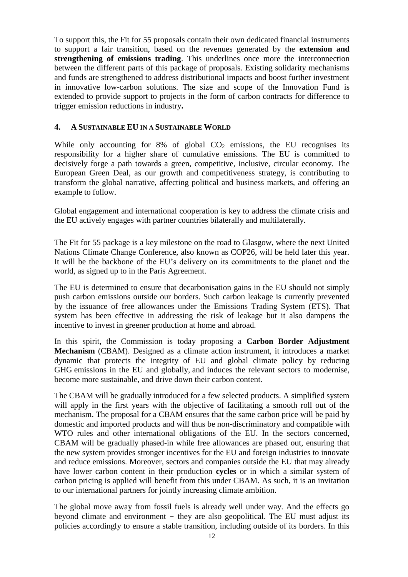To support this, the Fit for 55 proposals contain their own dedicated financial instruments to support a fair transition, based on the revenues generated by the **extension and strengthening of emissions trading**. This underlines once more the interconnection between the different parts of this package of proposals. Existing solidarity mechanisms and funds are strengthened to address distributional impacts and boost further investment in innovative low-carbon solutions. The size and scope of the Innovation Fund is extended to provide support to projects in the form of carbon contracts for difference to trigger emission reductions in industry**.**

## **4. A SUSTAINABLE EU IN A SUSTAINABLE WORLD**

While only accounting for  $8\%$  of global  $CO<sub>2</sub>$  emissions, the EU recognises its responsibility for a higher share of cumulative emissions. The EU is committed to decisively forge a path towards a green, competitive, inclusive, circular economy. The European Green Deal, as our growth and competitiveness strategy, is contributing to transform the global narrative, affecting political and business markets, and offering an example to follow.

Global engagement and international cooperation is key to address the climate crisis and the EU actively engages with partner countries bilaterally and multilaterally.

The Fit for 55 package is a key milestone on the road to Glasgow, where the next United Nations Climate Change Conference, also known as COP26, will be held later this year. It will be the backbone of the EU's delivery on its commitments to the planet and the world, as signed up to in the Paris Agreement.

The EU is determined to ensure that decarbonisation gains in the EU should not simply push carbon emissions outside our borders. Such carbon leakage is currently prevented by the issuance of free allowances under the Emissions Trading System (ETS). That system has been effective in addressing the risk of leakage but it also dampens the incentive to invest in greener production at home and abroad.

In this spirit, the Commission is today proposing a **Carbon Border Adjustment Mechanism** (CBAM). Designed as a climate action instrument, it introduces a market dynamic that protects the integrity of EU and global climate policy by reducing GHG emissions in the EU and globally, and induces the relevant sectors to modernise, become more sustainable, and drive down their carbon content.

The CBAM will be gradually introduced for a few selected products. A simplified system will apply in the first years with the objective of facilitating a smooth roll out of the mechanism. The proposal for a CBAM ensures that the same carbon price will be paid by domestic and imported products and will thus be non-discriminatory and compatible with WTO rules and other international obligations of the EU. In the sectors concerned, CBAM will be gradually phased-in while free allowances are phased out, ensuring that the new system provides stronger incentives for the EU and foreign industries to innovate and reduce emissions. Moreover, sectors and companies outside the EU that may already have lower carbon content in their production **cycles** or in which a similar system of carbon pricing is applied will benefit from this under CBAM. As such, it is an invitation to our international partners for jointly increasing climate ambition.

The global move away from fossil fuels is already well under way. And the effects go beyond climate and environment - they are also geopolitical. The EU must adjust its policies accordingly to ensure a stable transition, including outside of its borders. In this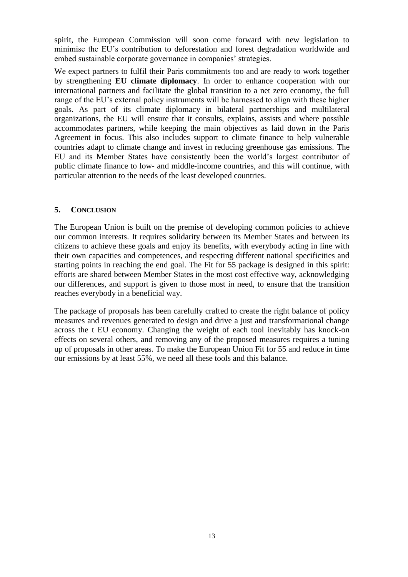spirit, the European Commission will soon come forward with new legislation to minimise the EU's contribution to deforestation and forest degradation worldwide and embed sustainable corporate governance in companies' strategies.

We expect partners to fulfil their Paris commitments too and are ready to work together by strengthening **EU climate diplomacy**. In order to enhance cooperation with our international partners and facilitate the global transition to a net zero economy, the full range of the EU's external policy instruments will be harnessed to align with these higher goals. As part of its climate diplomacy in bilateral partnerships and multilateral organizations, the EU will ensure that it consults, explains, assists and where possible accommodates partners, while keeping the main objectives as laid down in the Paris Agreement in focus. This also includes support to climate finance to help vulnerable countries adapt to climate change and invest in reducing greenhouse gas emissions. The EU and its Member States have consistently been the world's largest contributor of public climate finance to low- and middle-income countries, and this will continue, with particular attention to the needs of the least developed countries.

#### **5. CONCLUSION**

The European Union is built on the premise of developing common policies to achieve our common interests. It requires solidarity between its Member States and between its citizens to achieve these goals and enjoy its benefits, with everybody acting in line with their own capacities and competences, and respecting different national specificities and starting points in reaching the end goal. The Fit for 55 package is designed in this spirit: efforts are shared between Member States in the most cost effective way, acknowledging our differences, and support is given to those most in need, to ensure that the transition reaches everybody in a beneficial way.

The package of proposals has been carefully crafted to create the right balance of policy measures and revenues generated to design and drive a just and transformational change across the t EU economy. Changing the weight of each tool inevitably has knock-on effects on several others, and removing any of the proposed measures requires a tuning up of proposals in other areas. To make the European Union Fit for 55 and reduce in time our emissions by at least 55%, we need all these tools and this balance.